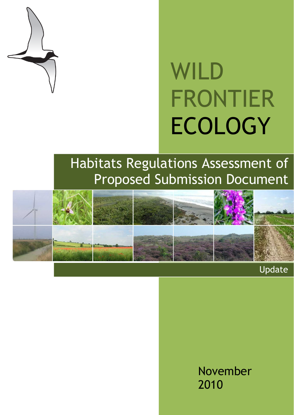

# WILD FRONTIER ECOLOGY

# Habitats Regulations Assessment of Proposed Submission Document



Update

November 2010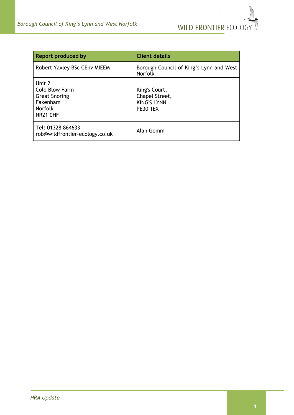

| Report produced by                                                                                       | <b>Client details</b>                                                    |
|----------------------------------------------------------------------------------------------------------|--------------------------------------------------------------------------|
| Robert Yaxley BSc CEnv MIEEM                                                                             | Borough Council of King's Lynn and West<br><b>Norfolk</b>                |
| Unit 2<br><b>Cold Blow Farm</b><br><b>Great Snoring</b><br>Fakenham<br><b>Norfolk</b><br><b>NR21 OHF</b> | King's Court,<br>Chapel Street,<br><b>KING'S LYNN</b><br><b>PE30 1EX</b> |
| Tel: 01328 864633<br>rob@wildfrontier-ecology.co.uk                                                      | Alan Gomm                                                                |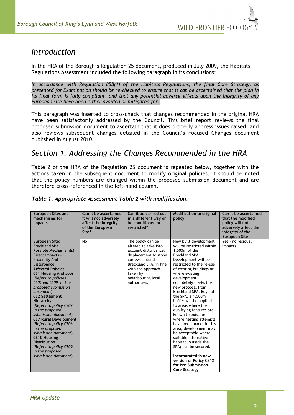

# *Introduction*

In the HRA of the Borough's Regulation 25 document, produced in July 2009, the Habitats Regulations Assessment included the following paragraph in its conclusions:

*In accordance with Regulation 85B(1) of the Habitats Regulations, the final Core Strategy, as presented for Examination should be re-checked to ensure that it can be ascertained that the plan in*  its final form is fully compliant, and that any potential adverse effects upon the integrity of any *European site have been either avoided or mitigated for.*

This paragraph was inserted to cross-check that changes recommended in the original HRA have been satisfactorily addressed by the Council. This brief report reviews the final proposed submission document to ascertain that it does properly address issues raised, and also reviews subsequent changes detailed in the Council's Focused Changes document published in August 2010.

# *Section 1. Addressing the Changes Recommended in the HRA*

Table 2 of the HRA of the Regulation 25 document is repeated below, together with the actions taken in the subsequent document to modify original policies. It should be noted that the policy numbers are changed within the proposed submission document and are therefore cross-referenced in the left-hand column.

| mechanisms for<br>affect the integrity<br>impacts<br>of the European<br>Site?                                                                                                                                                                                                                                                                                                                                                                                                                                                                                                                                              | it will not adversely<br>in a different way or<br>be conditioned or<br>restricted?                                                                                                                            | policy                                                                                                                                                                                                                                                                                                                                                                                                                                                                                                                                                                                                                                                                          | that the modified<br>policy will not<br>adversely affect the<br>integrity of the<br><b>European Site</b> |
|----------------------------------------------------------------------------------------------------------------------------------------------------------------------------------------------------------------------------------------------------------------------------------------------------------------------------------------------------------------------------------------------------------------------------------------------------------------------------------------------------------------------------------------------------------------------------------------------------------------------------|---------------------------------------------------------------------------------------------------------------------------------------------------------------------------------------------------------------|---------------------------------------------------------------------------------------------------------------------------------------------------------------------------------------------------------------------------------------------------------------------------------------------------------------------------------------------------------------------------------------------------------------------------------------------------------------------------------------------------------------------------------------------------------------------------------------------------------------------------------------------------------------------------------|----------------------------------------------------------------------------------------------------------|
| <b>European Site:</b><br>No<br><b>Breckland SPA</b><br>Possible Mechanism(s):<br>Direct Impacts -<br><b>Proximity And</b><br>Disturbance.<br><b>Affected Policies:</b><br><b>CS1 Housing And Jobs</b><br>(Refers to policies<br>CS01and CS09 in the<br>proposed submission<br>document)<br><b>CS2 Settlement</b><br>Hierarchy<br>(Refers to policy CS02<br>in the proposed<br>submission document)<br><b>CS7 Rural Development</b><br>(Refers to policy CS06<br>in the proposed<br>submission document)<br><b>CS10 Housing</b><br><b>Distribution</b><br>(Refers to policy CS09<br>in the proposed<br>submission document) | The policy can be<br>altered to take into<br>account disturbance/<br>displacement to stone<br>curlews around<br>Breckland SPA, in line<br>with the approach<br>taken by<br>neighbouring local<br>authorities. | New built development<br>will be restricted within<br>$1.500m$ of the<br>Breckland SPA.<br>Development will be<br>restricted to the re-use<br>of existing buildings or<br>where existing<br>development<br>completely masks the<br>new proposal from<br>Breckland SPA. Beyond<br>the SPA, a 1,500m<br>buffer will be applied<br>to areas where the<br>qualifying features are<br>known to exist, or<br>where nesting attempts<br>have been made. In this<br>area, development may<br>be acceptable where<br>suitable alternative<br>habitat (outside the<br>SPA) can be secured.<br>Incorporated in new<br>version of Policy CS12<br>for Pre-Submission<br><b>Core Strategy</b> | $Yes - no residual$<br>impacts                                                                           |

#### *Table 1. Appropriate Assessment Table 2 with modification.*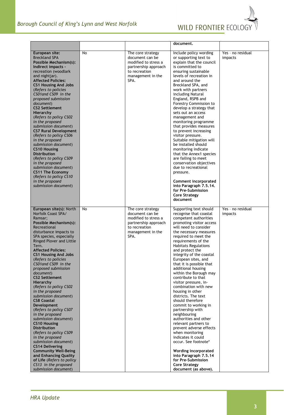

|                                                                           |    |                                              | document.                                                          |                   |
|---------------------------------------------------------------------------|----|----------------------------------------------|--------------------------------------------------------------------|-------------------|
| European site:                                                            | No | The core strategy                            | Include policy wording                                             | Yes - no residual |
| <b>Breckland SPA</b>                                                      |    | document can be                              | or supporting text to                                              | impacts           |
| Possible Mechanism(s):<br>Indirect impacts -                              |    | modified to stress a<br>partnership approach | explain that the council<br>is committed to                        |                   |
| recreation (woodlark)                                                     |    | to recreation                                | ensuring sustainable                                               |                   |
| and nightjar).                                                            |    | management in the                            | levels of recreation in                                            |                   |
| <b>Affected Policies:</b>                                                 |    | SPA.                                         | and around the<br>Breckland SPA, and                               |                   |
| <b>CS1 Housing And Jobs</b><br>(Refers to policies                        |    |                                              | work with partners                                                 |                   |
| CS01 and CS09 in the                                                      |    |                                              | including Natural                                                  |                   |
| proposed submission                                                       |    |                                              | England, RSPB and                                                  |                   |
| document)<br><b>CS2 Settlement</b>                                        |    |                                              | Forestry Commission to<br>develop a strategy that                  |                   |
| Hierarchy                                                                 |    |                                              | sets out an access                                                 |                   |
| (Refers to policy CS02                                                    |    |                                              | management and                                                     |                   |
| in the proposed<br>submission document)                                   |    |                                              | monitoring programme<br>that provides measures                     |                   |
| <b>CS7 Rural Development</b>                                              |    |                                              | to prevent increasing                                              |                   |
| (Refers to policy CS06                                                    |    |                                              | visitor pressure.                                                  |                   |
| in the proposed<br>submission document)                                   |    |                                              | Suitable mitigation will<br>be installed should                    |                   |
| <b>CS10 Housing</b>                                                       |    |                                              | monitoring indicate                                                |                   |
| <b>Distribution</b>                                                       |    |                                              | that the Annex1 species                                            |                   |
| (Refers to policy CS09                                                    |    |                                              | are failing to meet                                                |                   |
| in the proposed<br>submission document)                                   |    |                                              | conservation objectives<br>due to recreational                     |                   |
| <b>CS11 The Economy</b>                                                   |    |                                              | pressure.                                                          |                   |
| (Refers to policy CS10                                                    |    |                                              |                                                                    |                   |
| in the proposed<br>submission document)                                   |    |                                              | Comment incorporated<br>into Paragraph 7.5.14.                     |                   |
|                                                                           |    |                                              | for Pre-Submission                                                 |                   |
|                                                                           |    |                                              | <b>Core Strategy</b>                                               |                   |
|                                                                           |    |                                              | document                                                           |                   |
| European site(s): North                                                   | No | The core strategy                            | Supporting text should                                             | Yes - no residual |
| Norfolk Coast SPA/                                                        |    |                                              |                                                                    |                   |
|                                                                           |    | document can be                              | recognise that coastal                                             | impacts           |
| Ramsar;                                                                   |    | modified to stress a                         | competent authorities                                              |                   |
| Possible Mechanism(s):<br>Recreational                                    |    | partnership approach<br>to recreation        | promoting visitor access<br>will need to consider                  |                   |
| disturbance impacts to                                                    |    | management in the                            | the necessary measures                                             |                   |
| SPA species, especially                                                   |    | SPA.                                         | required to meet the                                               |                   |
| Ringed Plover and Little<br>Tern.                                         |    |                                              | requirements of the                                                |                   |
| <b>Affected Policies:</b>                                                 |    |                                              | <b>Habitats Regulations</b><br>and protect the                     |                   |
| <b>CS1 Housing And Jobs</b>                                               |    |                                              | integrity of the coastal                                           |                   |
| (Refers to policies                                                       |    |                                              | European sites, and                                                |                   |
| CS01and CS09 in the<br>proposed submission                                |    |                                              | that it is possible that<br>additional housing                     |                   |
| document)                                                                 |    |                                              | within the Borough may                                             |                   |
| <b>CS2 Settlement</b>                                                     |    |                                              | contribute to that                                                 |                   |
| Hierarchy<br>(Refers to policy CS02                                       |    |                                              | visitor pressure, in-<br>combination with new                      |                   |
| in the proposed                                                           |    |                                              | housing in other                                                   |                   |
| submission document)                                                      |    |                                              | districts. The text                                                |                   |
| <b>CS8 Coastal</b><br>Development                                         |    |                                              | should therefore<br>commit to working in                           |                   |
| (Refers to policy CS07                                                    |    |                                              | partnership with                                                   |                   |
| in the proposed                                                           |    |                                              | neighbouring                                                       |                   |
| submission document)<br><b>CS10 Housing</b>                               |    |                                              | authorities and other<br>relevant partners to                      |                   |
| <b>Distribution</b>                                                       |    |                                              | prevent adverse effects                                            |                   |
| (Refers to policy CS09                                                    |    |                                              | when monitoring                                                    |                   |
| in the proposed<br>submission document)                                   |    |                                              | indicates it could<br>occur. See footnote*                         |                   |
| <b>CS14 Delivering</b>                                                    |    |                                              |                                                                    |                   |
| <b>Community Well-Being</b>                                               |    |                                              | Wording incorporated                                               |                   |
| and Enhancing Quality                                                     |    |                                              | into Paragraph 7.5.14                                              |                   |
| of Life (Refers to policy<br>CS13 in the proposed<br>submission document) |    |                                              | for Pre-Submission<br><b>Core Strategy</b><br>document (as above). |                   |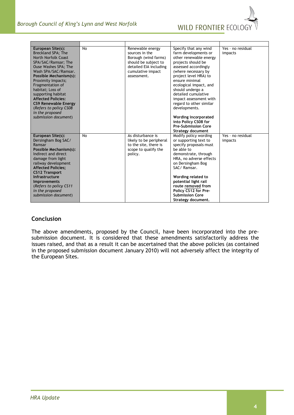

| European Site(s):<br>Breckland SPA; The<br><b>North Norfolk Coast</b><br>SPA/SAC/Ramsar; The<br><b>Ouse Washes SPA; The</b><br>Wash SPA/SAC/Ramsar.<br>Possible Mechanism(s):<br>Proximity Impacts;<br>Fragmentation of<br>habitat; Loss of<br>supporting habitat<br><b>Affected Policies:</b><br><b>CS9 Renewable Energy</b><br>(Refers to policy CS08)<br>in the proposed<br>submission document) | <b>No</b> | Renewable energy<br>sources in the<br>Borough (wind farms)<br>should be subject to<br>detailed EIA including<br>cumulative impact<br>assessment. | Specify that any wind<br>farm developments or<br>other renewable energy<br>projects should be<br>assessed accordingly<br>(where necessary by<br>project level HRA) to<br>ensure minimal<br>ecological impact, and<br>should undergo a<br>detailed cumulative<br>impact assessment with<br>regard to other similar<br>developments.<br>Wording incorporated<br>into Policy CS08 for<br><b>Pre-Submission Core</b><br>Strategy document | Yes - no residual<br>impacts |
|-----------------------------------------------------------------------------------------------------------------------------------------------------------------------------------------------------------------------------------------------------------------------------------------------------------------------------------------------------------------------------------------------------|-----------|--------------------------------------------------------------------------------------------------------------------------------------------------|---------------------------------------------------------------------------------------------------------------------------------------------------------------------------------------------------------------------------------------------------------------------------------------------------------------------------------------------------------------------------------------------------------------------------------------|------------------------------|
| European Site(s):<br>Dersingham Bog SAC/<br>Ramsar<br>Possible Mechanism(s):<br>Indirect and direct<br>damage from light<br>railway development<br><b>Affected Policies:</b><br><b>CS12 Transport</b><br>Infrastructure<br><b>Improvements</b><br>(Refers to policy CS11<br>in the proposed<br>submission document)                                                                                 | <b>No</b> | As disturbance is<br>likely to be peripheral<br>to the site, there is<br>scope to qualify the<br>policy.                                         | Modify policy wording<br>or supporting text to<br>specify proposals must<br>be able to<br>demonstrate, through<br>HRA, no adverse effects<br>on Dersingham Bog<br>SAC/Ramsar.<br>Wording related to<br>potential light rail<br>route removed from<br>Policy CS12 for Pre-<br><b>Submission Core</b><br>Strategy document.                                                                                                             | Yes - no residual<br>impacts |

### **Conclusion**

The above amendments, proposed by the Council, have been incorporated into the presubmission document. It is considered that these amendments satisfactorily address the issues raised, and that as a result it can be ascertained that the above policies (as contained in the proposed submission document January 2010) will not adversely affect the integrity of the European Sites.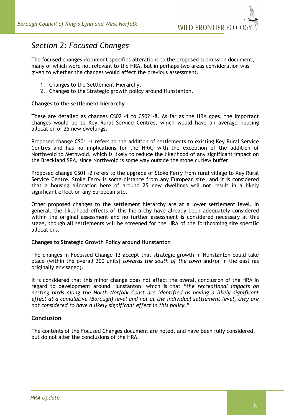

# *Section 2: Focused Changes*

The focused changes document specifies alterations to the proposed submission document, many of which were not relevant to the HRA, but in perhaps two areas consideration was given to whether the changes would affect the previous assessment.

- 1. Changes to the Settlement Hierarchy.
- 2. Changes to the Strategic growth policy around Hunstanton.

#### **Changes to the settlement hierarchy**

These are detailed as changes CS02 -1 to CS02 -8. As far as the HRA goes, the important changes would be to Key Rural Service Centres, which would have an average housing allocation of 25 new dwellings.

Proposed change CS01 -1 refers to the addition of settlements to existing Key Rural Service Centres and has no implications for the HRA, with the exception of the addition of Northwold to Methwold, which is likely to reduce the likelihood of any significant impact on the Breckland SPA, since Northwold is some way outside the stone curlew buffer.

Proposed change CS01 -2 refers to the upgrade of Stoke Ferry from rural village to Key Rural Service Centre. Stoke Ferry is some distance from any European site, and it is considered that a housing allocation here of around 25 new dwellings will not result in a likely significant effect on any European site.

Other proposed changes to the settlement hierarchy are at a lower settlement level. In general, the likelihood effects of this hierarchy have already been adequately considered within the original assessment and no further assessment is considered necessary at this stage, though all settlements will be screened for the HRA of the forthcoming site specific allocations.

#### **Changes to Strategic Growth Policy around Hunstanton**

The changes in Focussed Change 12 accept that strategic growth in Hunstanton could take place (within the overall 200 units) *towards the south of the town* and/or in the east (as originally envisaged).

It is considered that this minor change does not affect the overall conclusion of the HRA in regard to development around Hunstanton, which is that *"the recreational impacts on nesting birds along the North Norfolk Coast are identified as having a likely significant effect at a cumulative (Borough) level and not at the individual settlement level, they are not considered to have a likely significant effect in this policy."*

#### **Conclusion**

The contents of the Focused Changes document are noted, and have been fully considered, but do not alter the conclusions of the HRA.